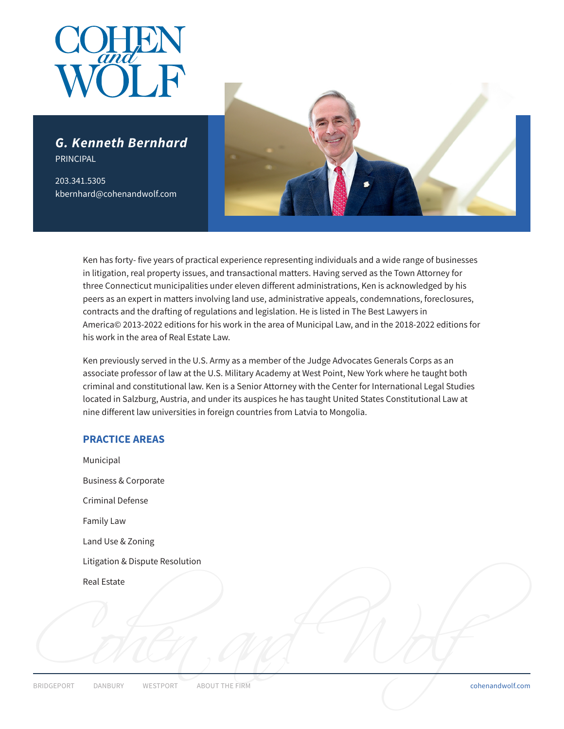

*G. Kenneth Bernhard* PRINCIPAL

203.341.5305 kbernhard@cohenandwolf.com



Ken has forty- five years of practical experience representing individuals and a wide range of businesses in litigation, real property issues, and transactional matters. Having served as the Town Attorney for three Connecticut municipalities under eleven different administrations, Ken is acknowledged by his peers as an expert in matters involving land use, administrative appeals, condemnations, foreclosures, contracts and the drafting of regulations and legislation. He is listed in The Best Lawyers in America© 2013-2022 editions for his work in the area of Municipal Law, and in the 2018-2022 editions for his work in the area of Real Estate Law.

Ken previously served in the U.S. Army as a member of the Judge Advocates Generals Corps as an associate professor of law at the U.S. Military Academy at West Point, New York where he taught both criminal and constitutional law. Ken is a Senior Attorney with the Center for International Legal Studies located in Salzburg, Austria, and under its auspices he has taught United States Constitutional Law at nine different law universities in foreign countries from Latvia to Mongolia.

# **PRACTICE AREAS**

ERIDGEPORT DANBURY WESTPORT ABOUT THE FIRM Municipal Business & Corporate Criminal Defense Family Law Land Use & Zoning Litigation & Dispute Resolution Real Estate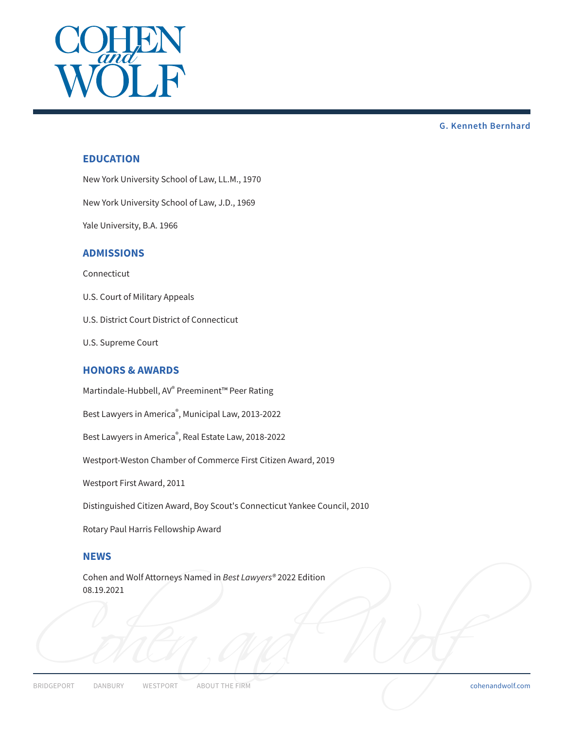

# **EDUCATION**

New York University School of Law, LL.M., 1970

New York University School of Law, J.D., 1969

Yale University, B.A. 1966

### **ADMISSIONS**

Connecticut

- U.S. Court of Military Appeals
- U.S. District Court District of Connecticut
- U.S. Supreme Court

# **HONORS & AWARDS**

Martindale-Hubbell, AV® Preeminent™ Peer Rating

Best Lawyers in America® , Municipal Law, 2013-2022

Best Lawyers in America® , Real Estate Law, 2018-2022

Westport-Weston Chamber of Commerce First Citizen Award, 2019

Westport First Award, 2011

Distinguished Citizen Award, Boy Scout's Connecticut Yankee Council, 2010

Rotary Paul Harris Fellowship Award

### **NEWS**

Cohen and Wolf Attorneys Named in *Best Lawyers®* 2022 Edition 08.19.2021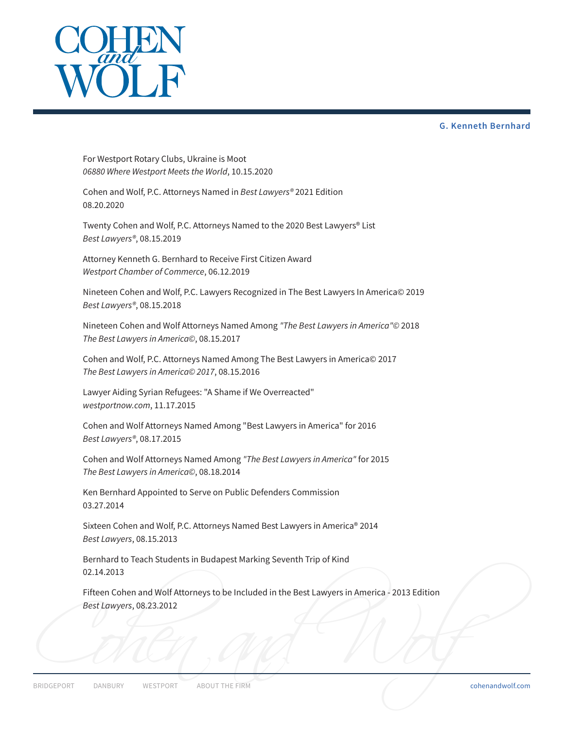

For Westport Rotary Clubs, Ukraine is Moot *06880 Where Westport Meets the World*, 10.15.2020

Cohen and Wolf, P.C. Attorneys Named in *Best Lawyers®* 2021 Edition 08.20.2020

Twenty Cohen and Wolf, P.C. Attorneys Named to the 2020 Best Lawyers® List *Best Lawyers®*, 08.15.2019

Attorney Kenneth G. Bernhard to Receive First Citizen Award *Westport Chamber of Commerce*, 06.12.2019

Nineteen Cohen and Wolf, P.C. Lawyers Recognized in The Best Lawyers In America© 2019 *Best Lawyers®*, 08.15.2018

Nineteen Cohen and Wolf Attorneys Named Among *"The Best Lawyers in America"©* 2018 *The Best Lawyers in America©*, 08.15.2017

Cohen and Wolf, P.C. Attorneys Named Among The Best Lawyers in America© 2017 *The Best Lawyers in America© 2017*, 08.15.2016

Lawyer Aiding Syrian Refugees: "A Shame if We Overreacted" *westportnow.com*, 11.17.2015

Cohen and Wolf Attorneys Named Among "Best Lawyers in America" for 2016 *Best Lawyers®*, 08.17.2015

Cohen and Wolf Attorneys Named Among *"The Best Lawyers in America"* for 2015 *The Best Lawyers in America©*, 08.18.2014

Ken Bernhard Appointed to Serve on Public Defenders Commission 03.27.2014

Sixteen Cohen and Wolf, P.C. Attorneys Named Best Lawyers in America® 2014 *Best Lawyers*, 08.15.2013

Bernhard to Teach Students in Budapest Marking Seventh Trip of Kind 02.14.2013

Fifteen Cohen and Wolf Attorneys to be Included in the Best Lawyers in America - 2013 Edition *Best Lawyers*, 08.23.2012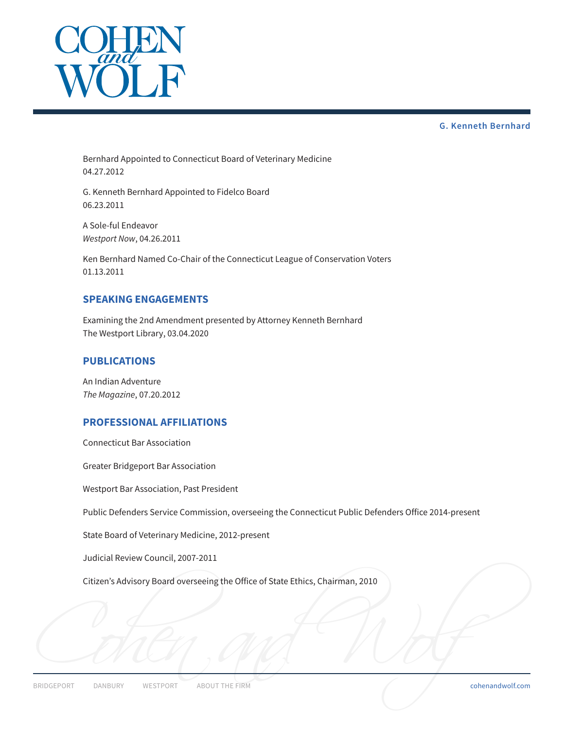

Bernhard Appointed to Connecticut Board of Veterinary Medicine 04.27.2012

G. Kenneth Bernhard Appointed to Fidelco Board 06.23.2011

A Sole-ful Endeavor *Westport Now*, 04.26.2011

Ken Bernhard Named Co-Chair of the Connecticut League of Conservation Voters 01.13.2011

### **SPEAKING ENGAGEMENTS**

Examining the 2nd Amendment presented by Attorney Kenneth Bernhard The Westport Library, 03.04.2020

### **PUBLICATIONS**

An Indian Adventure *The Magazine*, 07.20.2012

# **PROFESSIONAL AFFILIATIONS**

Connecticut Bar Association

Greater Bridgeport Bar Association

Westport Bar Association, Past President

Public Defenders Service Commission, overseeing the Connecticut Public Defenders Office 2014-present

State Board of Veterinary Medicine, 2012-present

Judicial Review Council, 2007-2011

Citizen's Advisory Board overseeing the Office of State Ethics, Chairman, 2010